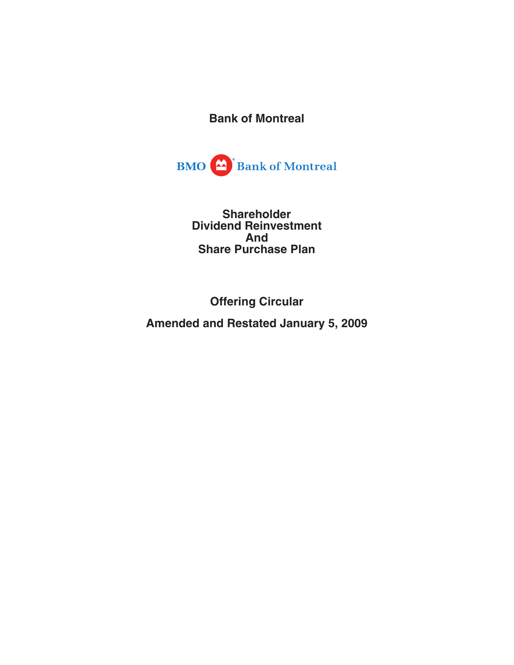**Bank of Montreal**



**Shareholder Dividend Reinvestment And Share Purchase Plan**

**Offering Circular**

**Amended and Restated January 5, 2009**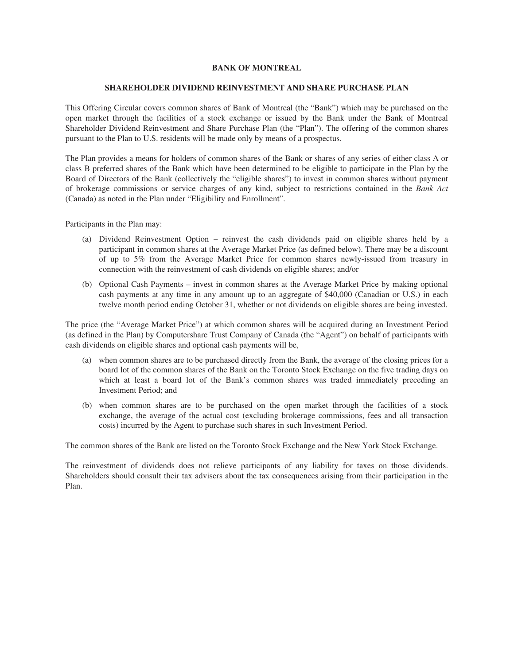# **BANK OF MONTREAL**

# **SHAREHOLDER DIVIDEND REINVESTMENT AND SHARE PURCHASE PLAN**

This Offering Circular covers common shares of Bank of Montreal (the "Bank") which may be purchased on the open market through the facilities of a stock exchange or issued by the Bank under the Bank of Montreal Shareholder Dividend Reinvestment and Share Purchase Plan (the "Plan"). The offering of the common shares pursuant to the Plan to U.S. residents will be made only by means of a prospectus.

The Plan provides a means for holders of common shares of the Bank or shares of any series of either class A or class B preferred shares of the Bank which have been determined to be eligible to participate in the Plan by the Board of Directors of the Bank (collectively the "eligible shares") to invest in common shares without payment of brokerage commissions or service charges of any kind, subject to restrictions contained in the *Bank Act* (Canada) as noted in the Plan under "Eligibility and Enrollment".

Participants in the Plan may:

- (a) Dividend Reinvestment Option reinvest the cash dividends paid on eligible shares held by a participant in common shares at the Average Market Price (as defined below). There may be a discount of up to 5% from the Average Market Price for common shares newly-issued from treasury in connection with the reinvestment of cash dividends on eligible shares; and/or
- (b) Optional Cash Payments invest in common shares at the Average Market Price by making optional cash payments at any time in any amount up to an aggregate of \$40,000 (Canadian or U.S.) in each twelve month period ending October 31, whether or not dividends on eligible shares are being invested.

The price (the "Average Market Price") at which common shares will be acquired during an Investment Period (as defined in the Plan) by Computershare Trust Company of Canada (the "Agent") on behalf of participants with cash dividends on eligible shares and optional cash payments will be,

- (a) when common shares are to be purchased directly from the Bank, the average of the closing prices for a board lot of the common shares of the Bank on the Toronto Stock Exchange on the five trading days on which at least a board lot of the Bank's common shares was traded immediately preceding an Investment Period; and
- (b) when common shares are to be purchased on the open market through the facilities of a stock exchange, the average of the actual cost (excluding brokerage commissions, fees and all transaction costs) incurred by the Agent to purchase such shares in such Investment Period.

The common shares of the Bank are listed on the Toronto Stock Exchange and the New York Stock Exchange.

The reinvestment of dividends does not relieve participants of any liability for taxes on those dividends. Shareholders should consult their tax advisers about the tax consequences arising from their participation in the Plan.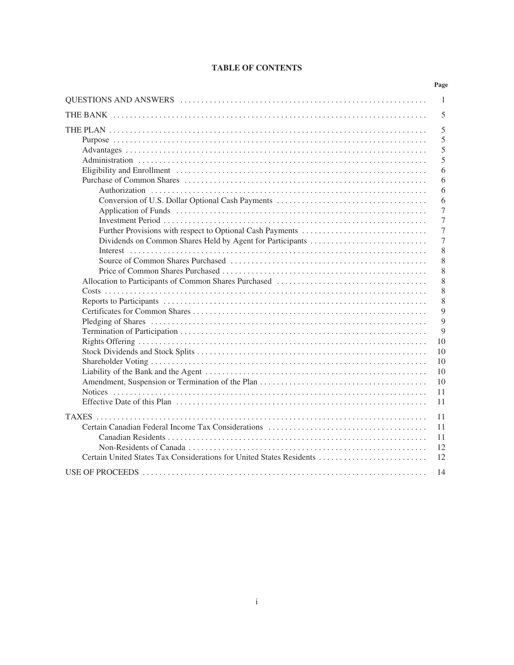# **TABLE OF CONTENTS**

|                                                                      | Page         |
|----------------------------------------------------------------------|--------------|
|                                                                      | $\mathbf{1}$ |
|                                                                      | 5            |
|                                                                      | 5            |
|                                                                      | 5            |
|                                                                      | 5            |
|                                                                      | 5            |
|                                                                      | 6            |
|                                                                      | 6<br>6       |
|                                                                      | 6            |
|                                                                      | 7            |
|                                                                      | 7            |
|                                                                      | 7            |
|                                                                      | 7            |
|                                                                      | 8            |
|                                                                      | 8            |
|                                                                      | 8            |
|                                                                      | 8            |
|                                                                      | 8<br>8       |
|                                                                      | 9            |
|                                                                      | 9            |
|                                                                      | 9            |
|                                                                      | 10           |
|                                                                      | 10           |
|                                                                      | 10           |
|                                                                      | 10           |
|                                                                      | 10           |
|                                                                      | 11           |
|                                                                      | 11           |
|                                                                      | 11           |
|                                                                      | 11           |
|                                                                      | 11           |
|                                                                      | 12           |
| Certain United States Tax Considerations for United States Residents | 12           |
|                                                                      | 14           |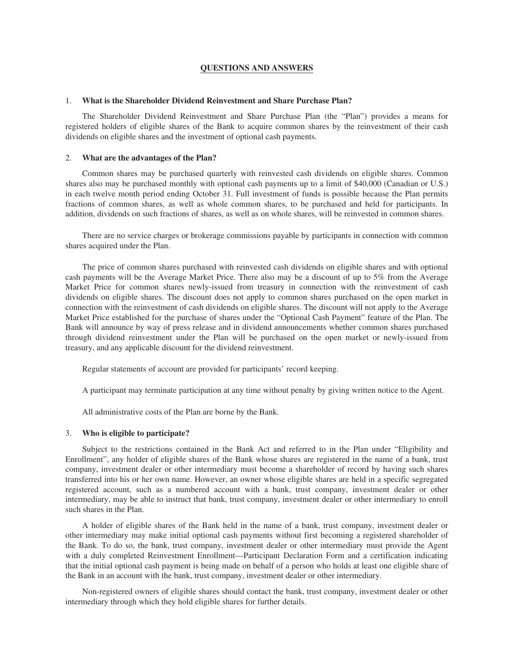## **QUESTIONS AND ANSWERS**

## 1. **What is the Shareholder Dividend Reinvestment and Share Purchase Plan?**

The Shareholder Dividend Reinvestment and Share Purchase Plan (the "Plan") provides a means for registered holders of eligible shares of the Bank to acquire common shares by the reinvestment of their cash dividends on eligible shares and the investment of optional cash payments.

### 2. **What are the advantages of the Plan?**

Common shares may be purchased quarterly with reinvested cash dividends on eligible shares. Common shares also may be purchased monthly with optional cash payments up to a limit of \$40,000 (Canadian or U.S.) in each twelve month period ending October 31. Full investment of funds is possible because the Plan permits fractions of common shares, as well as whole common shares, to be purchased and held for participants. In addition, dividends on such fractions of shares, as well as on whole shares, will be reinvested in common shares.

There are no service charges or brokerage commissions payable by participants in connection with common shares acquired under the Plan.

The price of common shares purchased with reinvested cash dividends on eligible shares and with optional cash payments will be the Average Market Price. There also may be a discount of up to 5% from the Average Market Price for common shares newly-issued from treasury in connection with the reinvestment of cash dividends on eligible shares. The discount does not apply to common shares purchased on the open market in connection with the reinvestment of cash dividends on eligible shares. The discount will not apply to the Average Market Price established for the purchase of shares under the "Optional Cash Payment" feature of the Plan. The Bank will announce by way of press release and in dividend announcements whether common shares purchased through dividend reinvestment under the Plan will be purchased on the open market or newly-issued from treasury, and any applicable discount for the dividend reinvestment.

Regular statements of account are provided for participants' record keeping.

A participant may terminate participation at any time without penalty by giving written notice to the Agent.

All administrative costs of the Plan are borne by the Bank.

# 3. **Who is eligible to participate?**

Subject to the restrictions contained in the Bank Act and referred to in the Plan under "Eligibility and Enrollment", any holder of eligible shares of the Bank whose shares are registered in the name of a bank, trust company, investment dealer or other intermediary must become a shareholder of record by having such shares transferred into his or her own name. However, an owner whose eligible shares are held in a specific segregated registered account, such as a numbered account with a bank, trust company, investment dealer or other intermediary, may be able to instruct that bank, trust company, investment dealer or other intermediary to enroll such shares in the Plan.

A holder of eligible shares of the Bank held in the name of a bank, trust company, investment dealer or other intermediary may make initial optional cash payments without first becoming a registered shareholder of the Bank. To do so, the bank, trust company, investment dealer or other intermediary must provide the Agent with a duly completed Reinvestment Enrollment—Participant Declaration Form and a certification indicating that the initial optional cash payment is being made on behalf of a person who holds at least one eligible share of the Bank in an account with the bank, trust company, investment dealer or other intermediary.

Non-registered owners of eligible shares should contact the bank, trust company, investment dealer or other intermediary through which they hold eligible shares for further details.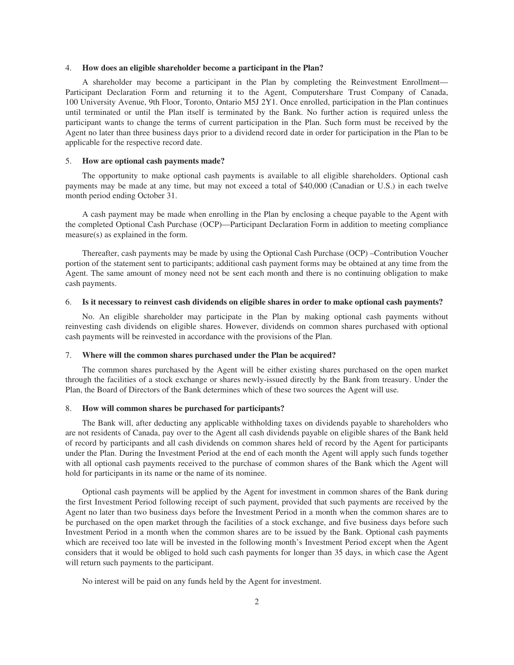### 4. **How does an eligible shareholder become a participant in the Plan?**

A shareholder may become a participant in the Plan by completing the Reinvestment Enrollment— Participant Declaration Form and returning it to the Agent, Computershare Trust Company of Canada, 100 University Avenue, 9th Floor, Toronto, Ontario M5J 2Y1. Once enrolled, participation in the Plan continues until terminated or until the Plan itself is terminated by the Bank. No further action is required unless the participant wants to change the terms of current participation in the Plan. Such form must be received by the Agent no later than three business days prior to a dividend record date in order for participation in the Plan to be applicable for the respective record date.

### 5. **How are optional cash payments made?**

The opportunity to make optional cash payments is available to all eligible shareholders. Optional cash payments may be made at any time, but may not exceed a total of \$40,000 (Canadian or U.S.) in each twelve month period ending October 31.

A cash payment may be made when enrolling in the Plan by enclosing a cheque payable to the Agent with the completed Optional Cash Purchase (OCP)—Participant Declaration Form in addition to meeting compliance measure(s) as explained in the form.

Thereafter, cash payments may be made by using the Optional Cash Purchase (OCP) –Contribution Voucher portion of the statement sent to participants; additional cash payment forms may be obtained at any time from the Agent. The same amount of money need not be sent each month and there is no continuing obligation to make cash payments.

### 6. **Is it necessary to reinvest cash dividends on eligible shares in order to make optional cash payments?**

No. An eligible shareholder may participate in the Plan by making optional cash payments without reinvesting cash dividends on eligible shares. However, dividends on common shares purchased with optional cash payments will be reinvested in accordance with the provisions of the Plan.

### 7. **Where will the common shares purchased under the Plan be acquired?**

The common shares purchased by the Agent will be either existing shares purchased on the open market through the facilities of a stock exchange or shares newly-issued directly by the Bank from treasury. Under the Plan, the Board of Directors of the Bank determines which of these two sources the Agent will use.

#### 8. **How will common shares be purchased for participants?**

The Bank will, after deducting any applicable withholding taxes on dividends payable to shareholders who are not residents of Canada, pay over to the Agent all cash dividends payable on eligible shares of the Bank held of record by participants and all cash dividends on common shares held of record by the Agent for participants under the Plan. During the Investment Period at the end of each month the Agent will apply such funds together with all optional cash payments received to the purchase of common shares of the Bank which the Agent will hold for participants in its name or the name of its nominee.

Optional cash payments will be applied by the Agent for investment in common shares of the Bank during the first Investment Period following receipt of such payment, provided that such payments are received by the Agent no later than two business days before the Investment Period in a month when the common shares are to be purchased on the open market through the facilities of a stock exchange, and five business days before such Investment Period in a month when the common shares are to be issued by the Bank. Optional cash payments which are received too late will be invested in the following month's Investment Period except when the Agent considers that it would be obliged to hold such cash payments for longer than 35 days, in which case the Agent will return such payments to the participant.

No interest will be paid on any funds held by the Agent for investment.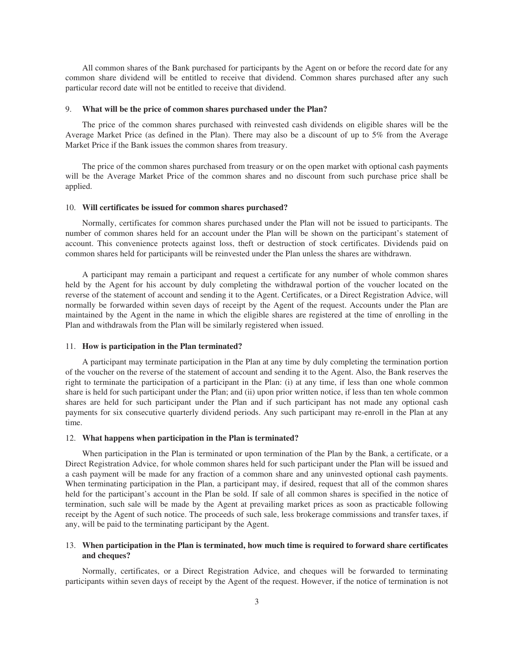All common shares of the Bank purchased for participants by the Agent on or before the record date for any common share dividend will be entitled to receive that dividend. Common shares purchased after any such particular record date will not be entitled to receive that dividend.

### 9. **What will be the price of common shares purchased under the Plan?**

The price of the common shares purchased with reinvested cash dividends on eligible shares will be the Average Market Price (as defined in the Plan). There may also be a discount of up to 5% from the Average Market Price if the Bank issues the common shares from treasury.

The price of the common shares purchased from treasury or on the open market with optional cash payments will be the Average Market Price of the common shares and no discount from such purchase price shall be applied.

### 10. **Will certificates be issued for common shares purchased?**

Normally, certificates for common shares purchased under the Plan will not be issued to participants. The number of common shares held for an account under the Plan will be shown on the participant's statement of account. This convenience protects against loss, theft or destruction of stock certificates. Dividends paid on common shares held for participants will be reinvested under the Plan unless the shares are withdrawn.

A participant may remain a participant and request a certificate for any number of whole common shares held by the Agent for his account by duly completing the withdrawal portion of the voucher located on the reverse of the statement of account and sending it to the Agent. Certificates, or a Direct Registration Advice, will normally be forwarded within seven days of receipt by the Agent of the request. Accounts under the Plan are maintained by the Agent in the name in which the eligible shares are registered at the time of enrolling in the Plan and withdrawals from the Plan will be similarly registered when issued.

## 11. **How is participation in the Plan terminated?**

A participant may terminate participation in the Plan at any time by duly completing the termination portion of the voucher on the reverse of the statement of account and sending it to the Agent. Also, the Bank reserves the right to terminate the participation of a participant in the Plan: (i) at any time, if less than one whole common share is held for such participant under the Plan; and (ii) upon prior written notice, if less than ten whole common shares are held for such participant under the Plan and if such participant has not made any optional cash payments for six consecutive quarterly dividend periods. Any such participant may re-enroll in the Plan at any time.

### 12. **What happens when participation in the Plan is terminated?**

When participation in the Plan is terminated or upon termination of the Plan by the Bank, a certificate, or a Direct Registration Advice, for whole common shares held for such participant under the Plan will be issued and a cash payment will be made for any fraction of a common share and any uninvested optional cash payments. When terminating participation in the Plan, a participant may, if desired, request that all of the common shares held for the participant's account in the Plan be sold. If sale of all common shares is specified in the notice of termination, such sale will be made by the Agent at prevailing market prices as soon as practicable following receipt by the Agent of such notice. The proceeds of such sale, less brokerage commissions and transfer taxes, if any, will be paid to the terminating participant by the Agent.

# 13. **When participation in the Plan is terminated, how much time is required to forward share certificates and cheques?**

Normally, certificates, or a Direct Registration Advice, and cheques will be forwarded to terminating participants within seven days of receipt by the Agent of the request. However, if the notice of termination is not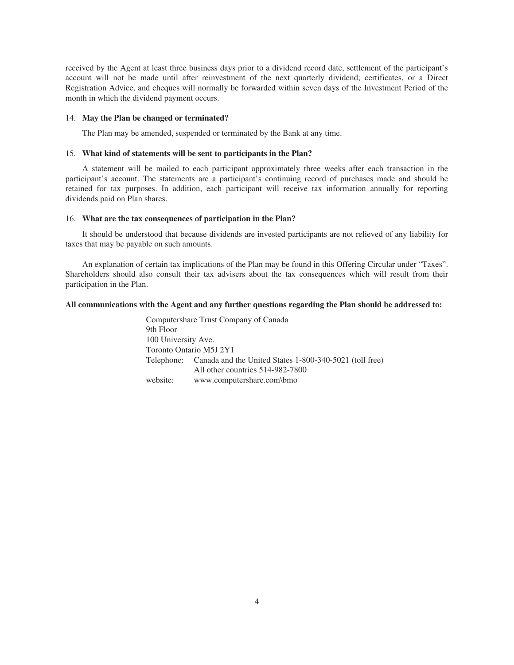received by the Agent at least three business days prior to a dividend record date, settlement of the participant's account will not be made until after reinvestment of the next quarterly dividend; certificates, or a Direct Registration Advice, and cheques will normally be forwarded within seven days of the Investment Period of the month in which the dividend payment occurs.

### 14. **May the Plan be changed or terminated?**

The Plan may be amended, suspended or terminated by the Bank at any time.

# 15. **What kind of statements will be sent to participants in the Plan?**

A statement will be mailed to each participant approximately three weeks after each transaction in the participant's account. The statements are a participant's continuing record of purchases made and should be retained for tax purposes. In addition, each participant will receive tax information annually for reporting dividends paid on Plan shares.

## 16. **What are the tax consequences of participation in the Plan?**

It should be understood that because dividends are invested participants are not relieved of any liability for taxes that may be payable on such amounts.

An explanation of certain tax implications of the Plan may be found in this Offering Circular under "Taxes". Shareholders should also consult their tax advisers about the tax consequences which will result from their participation in the Plan.

# **All communications with the Agent and any further questions regarding the Plan should be addressed to:**

Computershare Trust Company of Canada 9th Floor 100 University Ave. Toronto Ontario M5J 2Y1 Telephone: Canada and the United States 1-800-340-5021 (toll free) All other countries 514-982-7800 website: www.computershare.com\bmo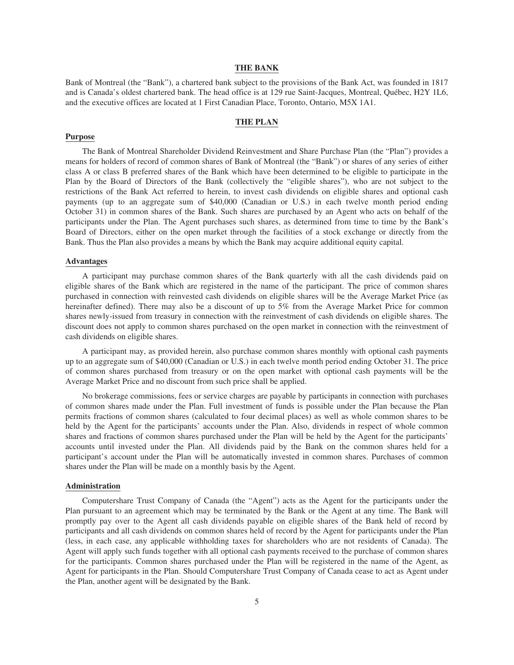# **THE BANK**

Bank of Montreal (the "Bank"), a chartered bank subject to the provisions of the Bank Act, was founded in 1817 and is Canada's oldest chartered bank. The head office is at 129 rue Saint-Jacques, Montreal, Québec, H2Y 1L6, and the executive offices are located at 1 First Canadian Place, Toronto, Ontario, M5X 1A1.

## **THE PLAN**

### **Purpose**

The Bank of Montreal Shareholder Dividend Reinvestment and Share Purchase Plan (the "Plan") provides a means for holders of record of common shares of Bank of Montreal (the "Bank") or shares of any series of either class A or class B preferred shares of the Bank which have been determined to be eligible to participate in the Plan by the Board of Directors of the Bank (collectively the "eligible shares"), who are not subject to the restrictions of the Bank Act referred to herein, to invest cash dividends on eligible shares and optional cash payments (up to an aggregate sum of \$40,000 (Canadian or U.S.) in each twelve month period ending October 31) in common shares of the Bank. Such shares are purchased by an Agent who acts on behalf of the participants under the Plan. The Agent purchases such shares, as determined from time to time by the Bank's Board of Directors, either on the open market through the facilities of a stock exchange or directly from the Bank. Thus the Plan also provides a means by which the Bank may acquire additional equity capital.

### **Advantages**

A participant may purchase common shares of the Bank quarterly with all the cash dividends paid on eligible shares of the Bank which are registered in the name of the participant. The price of common shares purchased in connection with reinvested cash dividends on eligible shares will be the Average Market Price (as hereinafter defined). There may also be a discount of up to 5% from the Average Market Price for common shares newly-issued from treasury in connection with the reinvestment of cash dividends on eligible shares. The discount does not apply to common shares purchased on the open market in connection with the reinvestment of cash dividends on eligible shares.

A participant may, as provided herein, also purchase common shares monthly with optional cash payments up to an aggregate sum of \$40,000 (Canadian or U.S.) in each twelve month period ending October 31. The price of common shares purchased from treasury or on the open market with optional cash payments will be the Average Market Price and no discount from such price shall be applied.

No brokerage commissions, fees or service charges are payable by participants in connection with purchases of common shares made under the Plan. Full investment of funds is possible under the Plan because the Plan permits fractions of common shares (calculated to four decimal places) as well as whole common shares to be held by the Agent for the participants' accounts under the Plan. Also, dividends in respect of whole common shares and fractions of common shares purchased under the Plan will be held by the Agent for the participants' accounts until invested under the Plan. All dividends paid by the Bank on the common shares held for a participant's account under the Plan will be automatically invested in common shares. Purchases of common shares under the Plan will be made on a monthly basis by the Agent.

### **Administration**

Computershare Trust Company of Canada (the "Agent") acts as the Agent for the participants under the Plan pursuant to an agreement which may be terminated by the Bank or the Agent at any time. The Bank will promptly pay over to the Agent all cash dividends payable on eligible shares of the Bank held of record by participants and all cash dividends on common shares held of record by the Agent for participants under the Plan (less, in each case, any applicable withholding taxes for shareholders who are not residents of Canada). The Agent will apply such funds together with all optional cash payments received to the purchase of common shares for the participants. Common shares purchased under the Plan will be registered in the name of the Agent, as Agent for participants in the Plan. Should Computershare Trust Company of Canada cease to act as Agent under the Plan, another agent will be designated by the Bank.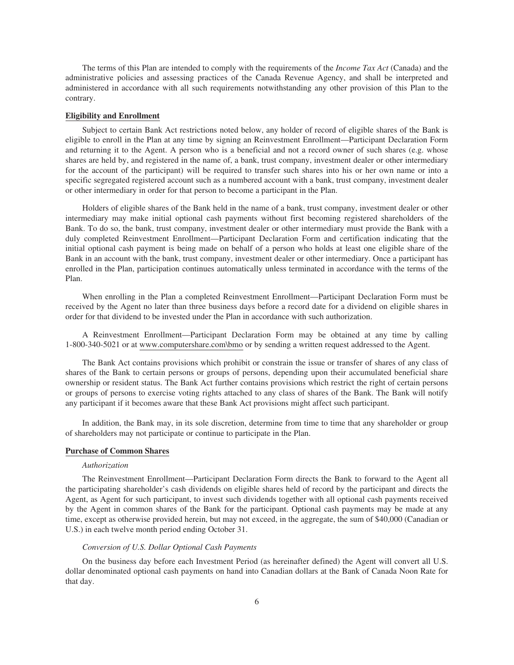The terms of this Plan are intended to comply with the requirements of the *Income Tax Act* (Canada) and the administrative policies and assessing practices of the Canada Revenue Agency, and shall be interpreted and administered in accordance with all such requirements notwithstanding any other provision of this Plan to the contrary.

### **Eligibility and Enrollment**

Subject to certain Bank Act restrictions noted below, any holder of record of eligible shares of the Bank is eligible to enroll in the Plan at any time by signing an Reinvestment Enrollment—Participant Declaration Form and returning it to the Agent. A person who is a beneficial and not a record owner of such shares (e.g. whose shares are held by, and registered in the name of, a bank, trust company, investment dealer or other intermediary for the account of the participant) will be required to transfer such shares into his or her own name or into a specific segregated registered account such as a numbered account with a bank, trust company, investment dealer or other intermediary in order for that person to become a participant in the Plan.

Holders of eligible shares of the Bank held in the name of a bank, trust company, investment dealer or other intermediary may make initial optional cash payments without first becoming registered shareholders of the Bank. To do so, the bank, trust company, investment dealer or other intermediary must provide the Bank with a duly completed Reinvestment Enrollment—Participant Declaration Form and certification indicating that the initial optional cash payment is being made on behalf of a person who holds at least one eligible share of the Bank in an account with the bank, trust company, investment dealer or other intermediary. Once a participant has enrolled in the Plan, participation continues automatically unless terminated in accordance with the terms of the Plan.

When enrolling in the Plan a completed Reinvestment Enrollment—Participant Declaration Form must be received by the Agent no later than three business days before a record date for a dividend on eligible shares in order for that dividend to be invested under the Plan in accordance with such authorization.

A Reinvestment Enrollment—Participant Declaration Form may be obtained at any time by calling 1-800-340-5021 or at www.computershare.com\bmo or by sending a written request addressed to the Agent.

The Bank Act contains provisions which prohibit or constrain the issue or transfer of shares of any class of shares of the Bank to certain persons or groups of persons, depending upon their accumulated beneficial share ownership or resident status. The Bank Act further contains provisions which restrict the right of certain persons or groups of persons to exercise voting rights attached to any class of shares of the Bank. The Bank will notify any participant if it becomes aware that these Bank Act provisions might affect such participant.

In addition, the Bank may, in its sole discretion, determine from time to time that any shareholder or group of shareholders may not participate or continue to participate in the Plan.

### **Purchase of Common Shares**

### *Authorization*

The Reinvestment Enrollment—Participant Declaration Form directs the Bank to forward to the Agent all the participating shareholder's cash dividends on eligible shares held of record by the participant and directs the Agent, as Agent for such participant, to invest such dividends together with all optional cash payments received by the Agent in common shares of the Bank for the participant. Optional cash payments may be made at any time, except as otherwise provided herein, but may not exceed, in the aggregate, the sum of \$40,000 (Canadian or U.S.) in each twelve month period ending October 31.

#### *Conversion of U.S. Dollar Optional Cash Payments*

On the business day before each Investment Period (as hereinafter defined) the Agent will convert all U.S. dollar denominated optional cash payments on hand into Canadian dollars at the Bank of Canada Noon Rate for that day.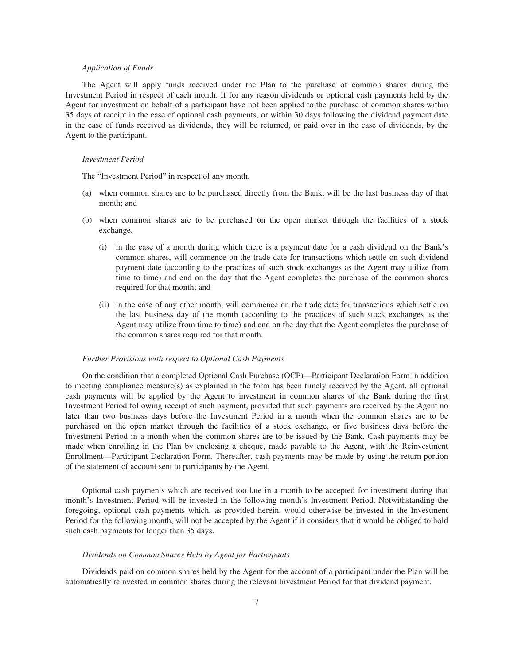## *Application of Funds*

The Agent will apply funds received under the Plan to the purchase of common shares during the Investment Period in respect of each month. If for any reason dividends or optional cash payments held by the Agent for investment on behalf of a participant have not been applied to the purchase of common shares within 35 days of receipt in the case of optional cash payments, or within 30 days following the dividend payment date in the case of funds received as dividends, they will be returned, or paid over in the case of dividends, by the Agent to the participant.

#### *Investment Period*

The "Investment Period" in respect of any month,

- (a) when common shares are to be purchased directly from the Bank, will be the last business day of that month; and
- (b) when common shares are to be purchased on the open market through the facilities of a stock exchange,
	- (i) in the case of a month during which there is a payment date for a cash dividend on the Bank's common shares, will commence on the trade date for transactions which settle on such dividend payment date (according to the practices of such stock exchanges as the Agent may utilize from time to time) and end on the day that the Agent completes the purchase of the common shares required for that month; and
	- (ii) in the case of any other month, will commence on the trade date for transactions which settle on the last business day of the month (according to the practices of such stock exchanges as the Agent may utilize from time to time) and end on the day that the Agent completes the purchase of the common shares required for that month.

### *Further Provisions with respect to Optional Cash Payments*

On the condition that a completed Optional Cash Purchase (OCP)—Participant Declaration Form in addition to meeting compliance measure(s) as explained in the form has been timely received by the Agent, all optional cash payments will be applied by the Agent to investment in common shares of the Bank during the first Investment Period following receipt of such payment, provided that such payments are received by the Agent no later than two business days before the Investment Period in a month when the common shares are to be purchased on the open market through the facilities of a stock exchange, or five business days before the Investment Period in a month when the common shares are to be issued by the Bank. Cash payments may be made when enrolling in the Plan by enclosing a cheque, made payable to the Agent, with the Reinvestment Enrollment—Participant Declaration Form. Thereafter, cash payments may be made by using the return portion of the statement of account sent to participants by the Agent.

Optional cash payments which are received too late in a month to be accepted for investment during that month's Investment Period will be invested in the following month's Investment Period. Notwithstanding the foregoing, optional cash payments which, as provided herein, would otherwise be invested in the Investment Period for the following month, will not be accepted by the Agent if it considers that it would be obliged to hold such cash payments for longer than 35 days.

### *Dividends on Common Shares Held by Agent for Participants*

Dividends paid on common shares held by the Agent for the account of a participant under the Plan will be automatically reinvested in common shares during the relevant Investment Period for that dividend payment.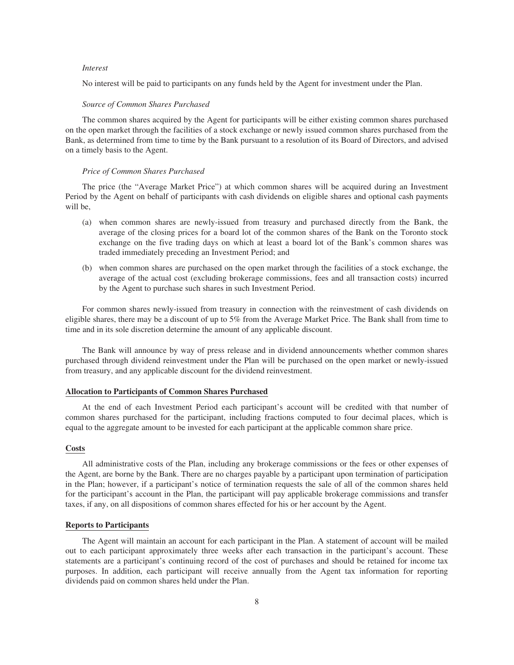### *Interest*

No interest will be paid to participants on any funds held by the Agent for investment under the Plan.

#### *Source of Common Shares Purchased*

The common shares acquired by the Agent for participants will be either existing common shares purchased on the open market through the facilities of a stock exchange or newly issued common shares purchased from the Bank, as determined from time to time by the Bank pursuant to a resolution of its Board of Directors, and advised on a timely basis to the Agent.

### *Price of Common Shares Purchased*

The price (the "Average Market Price") at which common shares will be acquired during an Investment Period by the Agent on behalf of participants with cash dividends on eligible shares and optional cash payments will be,

- (a) when common shares are newly-issued from treasury and purchased directly from the Bank, the average of the closing prices for a board lot of the common shares of the Bank on the Toronto stock exchange on the five trading days on which at least a board lot of the Bank's common shares was traded immediately preceding an Investment Period; and
- (b) when common shares are purchased on the open market through the facilities of a stock exchange, the average of the actual cost (excluding brokerage commissions, fees and all transaction costs) incurred by the Agent to purchase such shares in such Investment Period.

For common shares newly-issued from treasury in connection with the reinvestment of cash dividends on eligible shares, there may be a discount of up to 5% from the Average Market Price. The Bank shall from time to time and in its sole discretion determine the amount of any applicable discount.

The Bank will announce by way of press release and in dividend announcements whether common shares purchased through dividend reinvestment under the Plan will be purchased on the open market or newly-issued from treasury, and any applicable discount for the dividend reinvestment.

### **Allocation to Participants of Common Shares Purchased**

At the end of each Investment Period each participant's account will be credited with that number of common shares purchased for the participant, including fractions computed to four decimal places, which is equal to the aggregate amount to be invested for each participant at the applicable common share price.

## **Costs**

All administrative costs of the Plan, including any brokerage commissions or the fees or other expenses of the Agent, are borne by the Bank. There are no charges payable by a participant upon termination of participation in the Plan; however, if a participant's notice of termination requests the sale of all of the common shares held for the participant's account in the Plan, the participant will pay applicable brokerage commissions and transfer taxes, if any, on all dispositions of common shares effected for his or her account by the Agent.

## **Reports to Participants**

The Agent will maintain an account for each participant in the Plan. A statement of account will be mailed out to each participant approximately three weeks after each transaction in the participant's account. These statements are a participant's continuing record of the cost of purchases and should be retained for income tax purposes. In addition, each participant will receive annually from the Agent tax information for reporting dividends paid on common shares held under the Plan.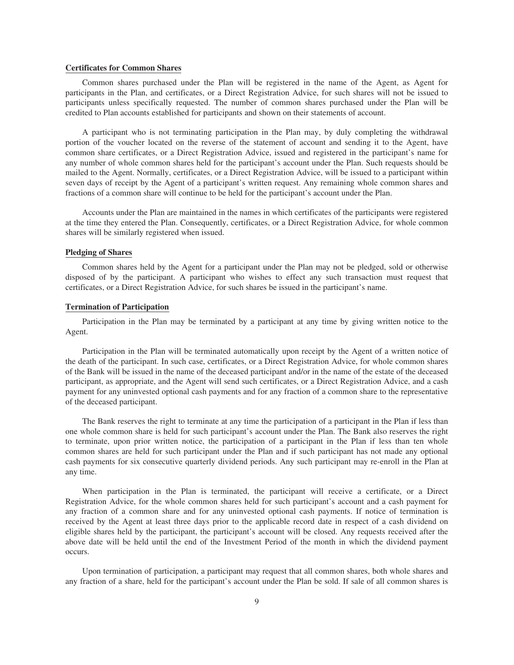### **Certificates for Common Shares**

Common shares purchased under the Plan will be registered in the name of the Agent, as Agent for participants in the Plan, and certificates, or a Direct Registration Advice, for such shares will not be issued to participants unless specifically requested. The number of common shares purchased under the Plan will be credited to Plan accounts established for participants and shown on their statements of account.

A participant who is not terminating participation in the Plan may, by duly completing the withdrawal portion of the voucher located on the reverse of the statement of account and sending it to the Agent, have common share certificates, or a Direct Registration Advice, issued and registered in the participant's name for any number of whole common shares held for the participant's account under the Plan. Such requests should be mailed to the Agent. Normally, certificates, or a Direct Registration Advice, will be issued to a participant within seven days of receipt by the Agent of a participant's written request. Any remaining whole common shares and fractions of a common share will continue to be held for the participant's account under the Plan.

Accounts under the Plan are maintained in the names in which certificates of the participants were registered at the time they entered the Plan. Consequently, certificates, or a Direct Registration Advice, for whole common shares will be similarly registered when issued.

#### **Pledging of Shares**

Common shares held by the Agent for a participant under the Plan may not be pledged, sold or otherwise disposed of by the participant. A participant who wishes to effect any such transaction must request that certificates, or a Direct Registration Advice, for such shares be issued in the participant's name.

#### **Termination of Participation**

Participation in the Plan may be terminated by a participant at any time by giving written notice to the Agent.

Participation in the Plan will be terminated automatically upon receipt by the Agent of a written notice of the death of the participant. In such case, certificates, or a Direct Registration Advice, for whole common shares of the Bank will be issued in the name of the deceased participant and/or in the name of the estate of the deceased participant, as appropriate, and the Agent will send such certificates, or a Direct Registration Advice, and a cash payment for any uninvested optional cash payments and for any fraction of a common share to the representative of the deceased participant.

The Bank reserves the right to terminate at any time the participation of a participant in the Plan if less than one whole common share is held for such participant's account under the Plan. The Bank also reserves the right to terminate, upon prior written notice, the participation of a participant in the Plan if less than ten whole common shares are held for such participant under the Plan and if such participant has not made any optional cash payments for six consecutive quarterly dividend periods. Any such participant may re-enroll in the Plan at any time.

When participation in the Plan is terminated, the participant will receive a certificate, or a Direct Registration Advice, for the whole common shares held for such participant's account and a cash payment for any fraction of a common share and for any uninvested optional cash payments. If notice of termination is received by the Agent at least three days prior to the applicable record date in respect of a cash dividend on eligible shares held by the participant, the participant's account will be closed. Any requests received after the above date will be held until the end of the Investment Period of the month in which the dividend payment occurs.

Upon termination of participation, a participant may request that all common shares, both whole shares and any fraction of a share, held for the participant's account under the Plan be sold. If sale of all common shares is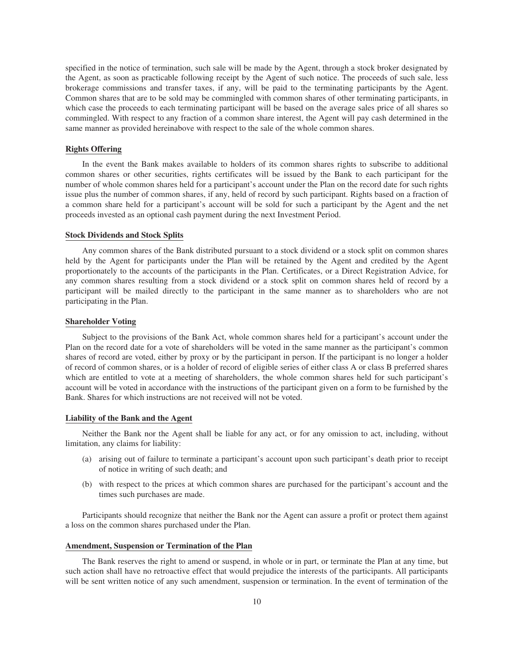specified in the notice of termination, such sale will be made by the Agent, through a stock broker designated by the Agent, as soon as practicable following receipt by the Agent of such notice. The proceeds of such sale, less brokerage commissions and transfer taxes, if any, will be paid to the terminating participants by the Agent. Common shares that are to be sold may be commingled with common shares of other terminating participants, in which case the proceeds to each terminating participant will be based on the average sales price of all shares so commingled. With respect to any fraction of a common share interest, the Agent will pay cash determined in the same manner as provided hereinabove with respect to the sale of the whole common shares.

## **Rights Offering**

In the event the Bank makes available to holders of its common shares rights to subscribe to additional common shares or other securities, rights certificates will be issued by the Bank to each participant for the number of whole common shares held for a participant's account under the Plan on the record date for such rights issue plus the number of common shares, if any, held of record by such participant. Rights based on a fraction of a common share held for a participant's account will be sold for such a participant by the Agent and the net proceeds invested as an optional cash payment during the next Investment Period.

### **Stock Dividends and Stock Splits**

Any common shares of the Bank distributed pursuant to a stock dividend or a stock split on common shares held by the Agent for participants under the Plan will be retained by the Agent and credited by the Agent proportionately to the accounts of the participants in the Plan. Certificates, or a Direct Registration Advice, for any common shares resulting from a stock dividend or a stock split on common shares held of record by a participant will be mailed directly to the participant in the same manner as to shareholders who are not participating in the Plan.

### **Shareholder Voting**

Subject to the provisions of the Bank Act, whole common shares held for a participant's account under the Plan on the record date for a vote of shareholders will be voted in the same manner as the participant's common shares of record are voted, either by proxy or by the participant in person. If the participant is no longer a holder of record of common shares, or is a holder of record of eligible series of either class A or class B preferred shares which are entitled to vote at a meeting of shareholders, the whole common shares held for such participant's account will be voted in accordance with the instructions of the participant given on a form to be furnished by the Bank. Shares for which instructions are not received will not be voted.

#### **Liability of the Bank and the Agent**

Neither the Bank nor the Agent shall be liable for any act, or for any omission to act, including, without limitation, any claims for liability:

- (a) arising out of failure to terminate a participant's account upon such participant's death prior to receipt of notice in writing of such death; and
- (b) with respect to the prices at which common shares are purchased for the participant's account and the times such purchases are made.

Participants should recognize that neither the Bank nor the Agent can assure a profit or protect them against a loss on the common shares purchased under the Plan.

### **Amendment, Suspension or Termination of the Plan**

The Bank reserves the right to amend or suspend, in whole or in part, or terminate the Plan at any time, but such action shall have no retroactive effect that would prejudice the interests of the participants. All participants will be sent written notice of any such amendment, suspension or termination. In the event of termination of the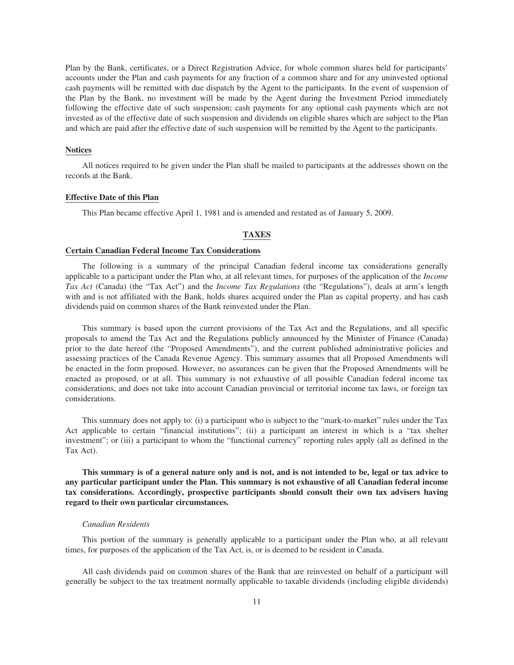Plan by the Bank, certificates, or a Direct Registration Advice, for whole common shares held for participants' accounts under the Plan and cash payments for any fraction of a common share and for any uninvested optional cash payments will be remitted with due dispatch by the Agent to the participants. In the event of suspension of the Plan by the Bank, no investment will be made by the Agent during the Investment Period immediately following the effective date of such suspension; cash payments for any optional cash payments which are not invested as of the effective date of such suspension and dividends on eligible shares which are subject to the Plan and which are paid after the effective date of such suspension will be remitted by the Agent to the participants.

#### **Notices**

All notices required to be given under the Plan shall be mailed to participants at the addresses shown on the records at the Bank.

## **Effective Date of this Plan**

This Plan became effective April 1, 1981 and is amended and restated as of January 5, 2009.

## **TAXES**

### **Certain Canadian Federal Income Tax Considerations**

The following is a summary of the principal Canadian federal income tax considerations generally applicable to a participant under the Plan who, at all relevant times, for purposes of the application of the *Income Tax Act* (Canada) (the "Tax Act") and the *Income Tax Regulations* (the "Regulations"), deals at arm's length with and is not affiliated with the Bank, holds shares acquired under the Plan as capital property, and has cash dividends paid on common shares of the Bank reinvested under the Plan.

This summary is based upon the current provisions of the Tax Act and the Regulations, and all specific proposals to amend the Tax Act and the Regulations publicly announced by the Minister of Finance (Canada) prior to the date hereof (the "Proposed Amendments"), and the current published administrative policies and assessing practices of the Canada Revenue Agency. This summary assumes that all Proposed Amendments will be enacted in the form proposed. However, no assurances can be given that the Proposed Amendments will be enacted as proposed, or at all. This summary is not exhaustive of all possible Canadian federal income tax considerations, and does not take into account Canadian provincial or territorial income tax laws, or foreign tax considerations.

This summary does not apply to: (i) a participant who is subject to the "mark-to-market" rules under the Tax Act applicable to certain "financial institutions"; (ii) a participant an interest in which is a "tax shelter investment"; or (iii) a participant to whom the "functional currency" reporting rules apply (all as defined in the Tax Act).

**This summary is of a general nature only and is not, and is not intended to be, legal or tax advice to any particular participant under the Plan. This summary is not exhaustive of all Canadian federal income tax considerations. Accordingly, prospective participants should consult their own tax advisers having regard to their own particular circumstances.**

### *Canadian Residents*

This portion of the summary is generally applicable to a participant under the Plan who, at all relevant times, for purposes of the application of the Tax Act, is, or is deemed to be resident in Canada.

All cash dividends paid on common shares of the Bank that are reinvested on behalf of a participant will generally be subject to the tax treatment normally applicable to taxable dividends (including eligible dividends)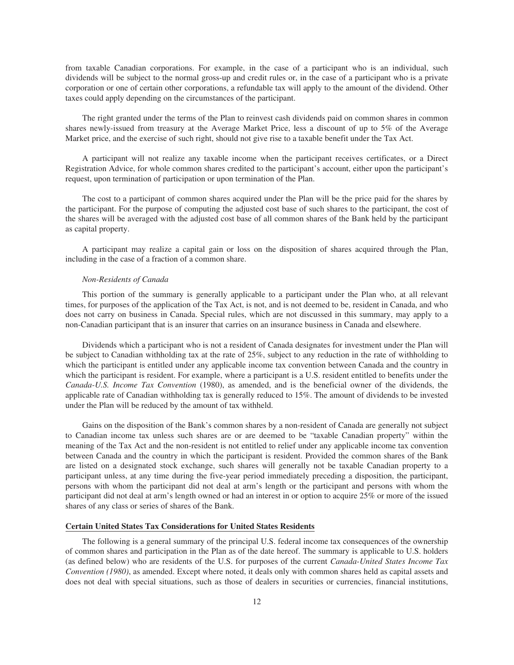from taxable Canadian corporations. For example, in the case of a participant who is an individual, such dividends will be subject to the normal gross-up and credit rules or, in the case of a participant who is a private corporation or one of certain other corporations, a refundable tax will apply to the amount of the dividend. Other taxes could apply depending on the circumstances of the participant.

The right granted under the terms of the Plan to reinvest cash dividends paid on common shares in common shares newly-issued from treasury at the Average Market Price, less a discount of up to 5% of the Average Market price, and the exercise of such right, should not give rise to a taxable benefit under the Tax Act.

A participant will not realize any taxable income when the participant receives certificates, or a Direct Registration Advice, for whole common shares credited to the participant's account, either upon the participant's request, upon termination of participation or upon termination of the Plan.

The cost to a participant of common shares acquired under the Plan will be the price paid for the shares by the participant. For the purpose of computing the adjusted cost base of such shares to the participant, the cost of the shares will be averaged with the adjusted cost base of all common shares of the Bank held by the participant as capital property.

A participant may realize a capital gain or loss on the disposition of shares acquired through the Plan, including in the case of a fraction of a common share.

### *Non-Residents of Canada*

This portion of the summary is generally applicable to a participant under the Plan who, at all relevant times, for purposes of the application of the Tax Act, is not, and is not deemed to be, resident in Canada, and who does not carry on business in Canada. Special rules, which are not discussed in this summary, may apply to a non-Canadian participant that is an insurer that carries on an insurance business in Canada and elsewhere.

Dividends which a participant who is not a resident of Canada designates for investment under the Plan will be subject to Canadian withholding tax at the rate of 25%, subject to any reduction in the rate of withholding to which the participant is entitled under any applicable income tax convention between Canada and the country in which the participant is resident. For example, where a participant is a U.S. resident entitled to benefits under the *Canada-U.S. Income Tax Convention* (1980), as amended, and is the beneficial owner of the dividends, the applicable rate of Canadian withholding tax is generally reduced to 15%. The amount of dividends to be invested under the Plan will be reduced by the amount of tax withheld.

Gains on the disposition of the Bank's common shares by a non-resident of Canada are generally not subject to Canadian income tax unless such shares are or are deemed to be "taxable Canadian property" within the meaning of the Tax Act and the non-resident is not entitled to relief under any applicable income tax convention between Canada and the country in which the participant is resident. Provided the common shares of the Bank are listed on a designated stock exchange, such shares will generally not be taxable Canadian property to a participant unless, at any time during the five-year period immediately preceding a disposition, the participant, persons with whom the participant did not deal at arm's length or the participant and persons with whom the participant did not deal at arm's length owned or had an interest in or option to acquire 25% or more of the issued shares of any class or series of shares of the Bank.

## **Certain United States Tax Considerations for United States Residents**

The following is a general summary of the principal U.S. federal income tax consequences of the ownership of common shares and participation in the Plan as of the date hereof. The summary is applicable to U.S. holders (as defined below) who are residents of the U.S. for purposes of the current *Canada-United States Income Tax Convention (1980)*, as amended. Except where noted, it deals only with common shares held as capital assets and does not deal with special situations, such as those of dealers in securities or currencies, financial institutions,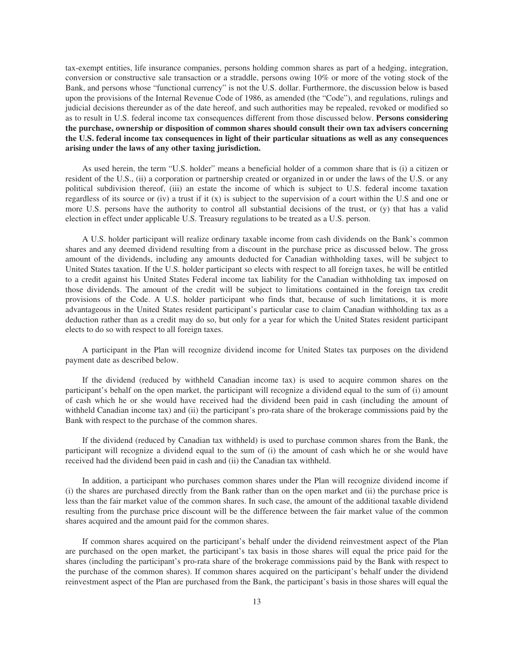tax-exempt entities, life insurance companies, persons holding common shares as part of a hedging, integration, conversion or constructive sale transaction or a straddle, persons owing 10% or more of the voting stock of the Bank, and persons whose "functional currency" is not the U.S. dollar. Furthermore, the discussion below is based upon the provisions of the Internal Revenue Code of 1986, as amended (the "Code"), and regulations, rulings and judicial decisions thereunder as of the date hereof, and such authorities may be repealed, revoked or modified so as to result in U.S. federal income tax consequences different from those discussed below. **Persons considering the purchase, ownership or disposition of common shares should consult their own tax advisers concerning the U.S. federal income tax consequences in light of their particular situations as well as any consequences arising under the laws of any other taxing jurisdiction.**

As used herein, the term "U.S. holder" means a beneficial holder of a common share that is (i) a citizen or resident of the U.S., (ii) a corporation or partnership created or organized in or under the laws of the U.S. or any political subdivision thereof, (iii) an estate the income of which is subject to U.S. federal income taxation regardless of its source or (iv) a trust if it  $(x)$  is subject to the supervision of a court within the U.S and one or more U.S. persons have the authority to control all substantial decisions of the trust, or (y) that has a valid election in effect under applicable U.S. Treasury regulations to be treated as a U.S. person.

A U.S. holder participant will realize ordinary taxable income from cash dividends on the Bank's common shares and any deemed dividend resulting from a discount in the purchase price as discussed below. The gross amount of the dividends, including any amounts deducted for Canadian withholding taxes, will be subject to United States taxation. If the U.S. holder participant so elects with respect to all foreign taxes, he will be entitled to a credit against his United States Federal income tax liability for the Canadian withholding tax imposed on those dividends. The amount of the credit will be subject to limitations contained in the foreign tax credit provisions of the Code. A U.S. holder participant who finds that, because of such limitations, it is more advantageous in the United States resident participant's particular case to claim Canadian withholding tax as a deduction rather than as a credit may do so, but only for a year for which the United States resident participant elects to do so with respect to all foreign taxes.

A participant in the Plan will recognize dividend income for United States tax purposes on the dividend payment date as described below.

If the dividend (reduced by withheld Canadian income tax) is used to acquire common shares on the participant's behalf on the open market, the participant will recognize a dividend equal to the sum of (i) amount of cash which he or she would have received had the dividend been paid in cash (including the amount of withheld Canadian income tax) and (ii) the participant's pro-rata share of the brokerage commissions paid by the Bank with respect to the purchase of the common shares.

If the dividend (reduced by Canadian tax withheld) is used to purchase common shares from the Bank, the participant will recognize a dividend equal to the sum of (i) the amount of cash which he or she would have received had the dividend been paid in cash and (ii) the Canadian tax withheld.

In addition, a participant who purchases common shares under the Plan will recognize dividend income if (i) the shares are purchased directly from the Bank rather than on the open market and (ii) the purchase price is less than the fair market value of the common shares. In such case, the amount of the additional taxable dividend resulting from the purchase price discount will be the difference between the fair market value of the common shares acquired and the amount paid for the common shares.

If common shares acquired on the participant's behalf under the dividend reinvestment aspect of the Plan are purchased on the open market, the participant's tax basis in those shares will equal the price paid for the shares (including the participant's pro-rata share of the brokerage commissions paid by the Bank with respect to the purchase of the common shares). If common shares acquired on the participant's behalf under the dividend reinvestment aspect of the Plan are purchased from the Bank, the participant's basis in those shares will equal the